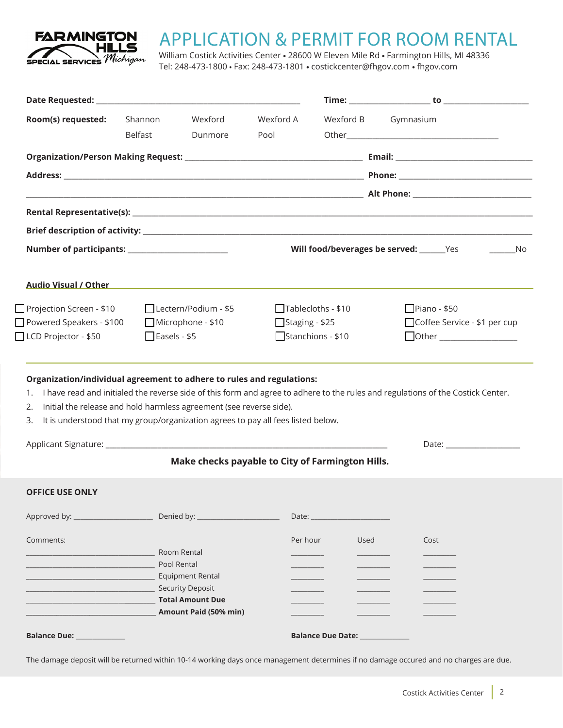

## APPLICATION & PERMIT FOR ROOM RENTAL

William Costick Activities Center **•** 28600 W Eleven Mile Rd **•** Farmington Hills, MI 48336 Tel: 248-473-1800 • Fax: 248-473-1801 **•** costickcenter@fhgov.com **•** fhgov.com

| Room(s) requested:                                                                                                                                                                                                                           | Shannon              | Wexford                                | Wexford A                                        |                                                                      | Wexford B Gymnasium                                                                                                                                                                                                            |  |  |
|----------------------------------------------------------------------------------------------------------------------------------------------------------------------------------------------------------------------------------------------|----------------------|----------------------------------------|--------------------------------------------------|----------------------------------------------------------------------|--------------------------------------------------------------------------------------------------------------------------------------------------------------------------------------------------------------------------------|--|--|
|                                                                                                                                                                                                                                              | Belfast              | Dunmore                                | Pool                                             |                                                                      |                                                                                                                                                                                                                                |  |  |
|                                                                                                                                                                                                                                              |                      |                                        |                                                  |                                                                      |                                                                                                                                                                                                                                |  |  |
|                                                                                                                                                                                                                                              |                      |                                        |                                                  |                                                                      |                                                                                                                                                                                                                                |  |  |
|                                                                                                                                                                                                                                              |                      |                                        |                                                  |                                                                      |                                                                                                                                                                                                                                |  |  |
|                                                                                                                                                                                                                                              |                      |                                        |                                                  |                                                                      |                                                                                                                                                                                                                                |  |  |
|                                                                                                                                                                                                                                              |                      |                                        |                                                  |                                                                      |                                                                                                                                                                                                                                |  |  |
|                                                                                                                                                                                                                                              |                      |                                        |                                                  | Will food/beverages be served: _______Yes<br>$\rule{1em}{0.15mm}$ No |                                                                                                                                                                                                                                |  |  |
|                                                                                                                                                                                                                                              |                      |                                        |                                                  |                                                                      |                                                                                                                                                                                                                                |  |  |
| $\Box$ Projection Screen - \$10                                                                                                                                                                                                              | Lectern/Podium - \$5 |                                        |                                                  | $\Box$ Piano - \$50<br>$\Box$ Tablecloths - \$10                     |                                                                                                                                                                                                                                |  |  |
| Powered Speakers - \$100<br>Microphone - \$10                                                                                                                                                                                                |                      |                                        |                                                  | □ Coffee Service - \$1 per cup<br>$\Box$ Staging - \$25              |                                                                                                                                                                                                                                |  |  |
| LCD Projector - \$50<br>$\Box$ Easels - \$5                                                                                                                                                                                                  |                      |                                        |                                                  | Stanchions - \$10<br>Other __________________                        |                                                                                                                                                                                                                                |  |  |
| Organization/individual agreement to adhere to rules and regulations:<br>Initial the release and hold harmless agreement (see reverse side).<br>2.<br>It is understood that my group/organization agrees to pay all fees listed below.<br>3. |                      |                                        |                                                  |                                                                      | 1. I have read and initialed the reverse side of this form and agree to adhere to the rules and regulations of the Costick Center.                                                                                             |  |  |
|                                                                                                                                                                                                                                              |                      |                                        | Make checks payable to City of Farmington Hills. |                                                                      | Date: the contract of the contract of the contract of the contract of the contract of the contract of the contract of the contract of the contract of the contract of the contract of the contract of the contract of the cont |  |  |
| <b>OFFICE USE ONLY</b>                                                                                                                                                                                                                       |                      |                                        |                                                  |                                                                      |                                                                                                                                                                                                                                |  |  |
| Approved by: Approved by:                                                                                                                                                                                                                    |                      |                                        |                                                  |                                                                      |                                                                                                                                                                                                                                |  |  |
| Comments:                                                                                                                                                                                                                                    |                      |                                        | Per hour                                         | Used                                                                 | Cost                                                                                                                                                                                                                           |  |  |
|                                                                                                                                                                                                                                              |                      | Room Rental                            |                                                  |                                                                      |                                                                                                                                                                                                                                |  |  |
|                                                                                                                                                                                                                                              |                      | Pool Rental<br><b>Equipment Rental</b> |                                                  |                                                                      |                                                                                                                                                                                                                                |  |  |
|                                                                                                                                                                                                                                              |                      | <b>Security Deposit</b>                |                                                  |                                                                      |                                                                                                                                                                                                                                |  |  |
|                                                                                                                                                                                                                                              |                      | <b>Total Amount Due</b>                |                                                  |                                                                      |                                                                                                                                                                                                                                |  |  |
|                                                                                                                                                                                                                                              |                      | Amount Paid (50% min)                  |                                                  |                                                                      |                                                                                                                                                                                                                                |  |  |
| <b>Balance Due: Balance Due:</b>                                                                                                                                                                                                             |                      |                                        |                                                  |                                                                      |                                                                                                                                                                                                                                |  |  |
|                                                                                                                                                                                                                                              |                      |                                        |                                                  |                                                                      |                                                                                                                                                                                                                                |  |  |

The damage deposit will be returned within 10-14 working days once management determines if no damage occured and no charges are due.